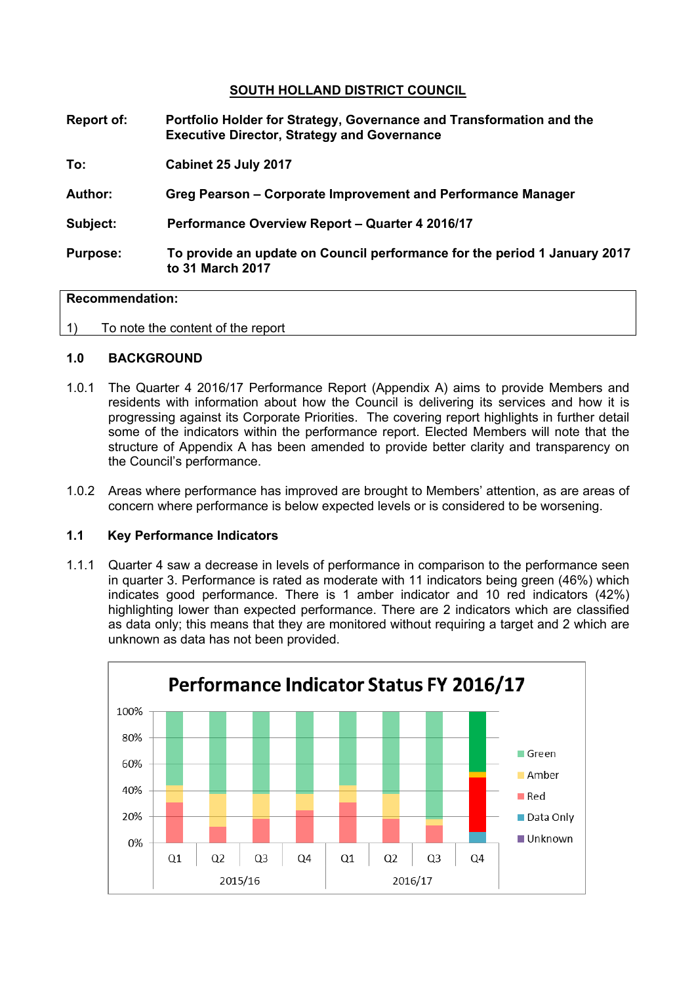# **SOUTH HOLLAND DISTRICT COUNCIL**

| Report of:      | Portfolio Holder for Strategy, Governance and Transformation and the<br><b>Executive Director, Strategy and Governance</b> |
|-----------------|----------------------------------------------------------------------------------------------------------------------------|
| To:             | Cabinet 25 July 2017                                                                                                       |
| <b>Author:</b>  | Greg Pearson – Corporate Improvement and Performance Manager                                                               |
| Subject:        | Performance Overview Report - Quarter 4 2016/17                                                                            |
| <b>Purpose:</b> | To provide an update on Council performance for the period 1 January 2017<br>to 31 March 2017                              |
|                 |                                                                                                                            |

### **Recommendation:**

1) To note the content of the report

## **1.0 BACKGROUND**

- 1.0.1 The Quarter 4 2016/17 Performance Report (Appendix A) aims to provide Members and residents with information about how the Council is delivering its services and how it is progressing against its Corporate Priorities. The covering report highlights in further detail some of the indicators within the performance report. Elected Members will note that the structure of Appendix A has been amended to provide better clarity and transparency on the Council's performance.
- 1.0.2 Areas where performance has improved are brought to Members' attention, as are areas of concern where performance is below expected levels or is considered to be worsening.

### **1.1 Key Performance Indicators**

1.1.1 Quarter 4 saw a decrease in levels of performance in comparison to the performance seen in quarter 3. Performance is rated as moderate with 11 indicators being green (46%) which indicates good performance. There is 1 amber indicator and 10 red indicators (42%) highlighting lower than expected performance. There are 2 indicators which are classified as data only; this means that they are monitored without requiring a target and 2 which are unknown as data has not been provided.

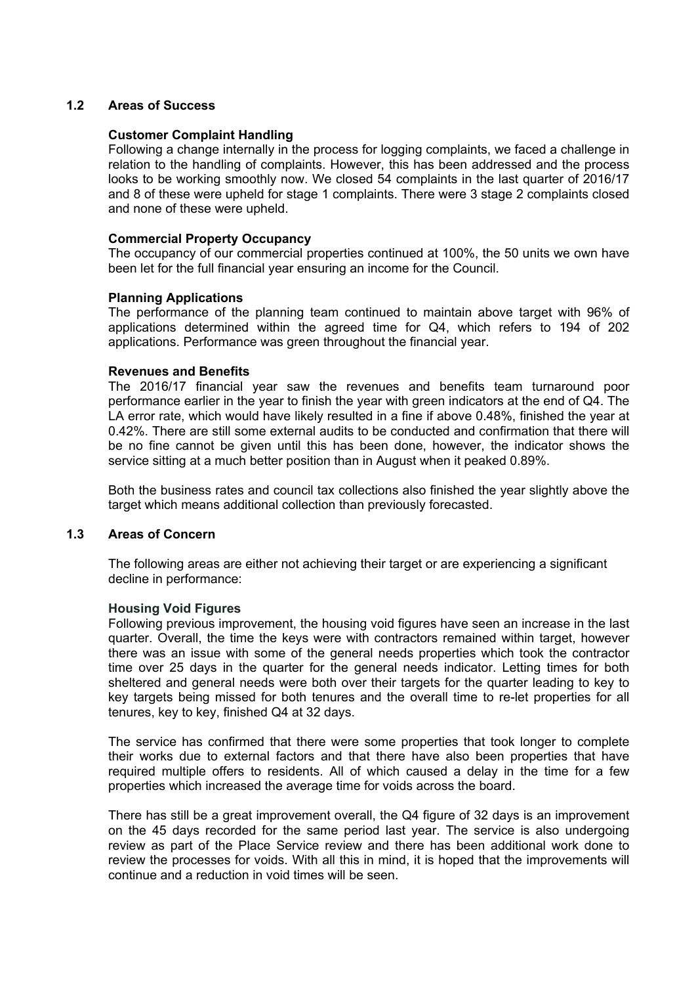# **1.2 Areas of Success**

### **Customer Complaint Handling**

Following a change internally in the process for logging complaints, we faced a challenge in relation to the handling of complaints. However, this has been addressed and the process looks to be working smoothly now. We closed 54 complaints in the last quarter of 2016/17 and 8 of these were upheld for stage 1 complaints. There were 3 stage 2 complaints closed and none of these were upheld.

### **Commercial Property Occupancy**

The occupancy of our commercial properties continued at 100%, the 50 units we own have been let for the full financial year ensuring an income for the Council.

## **Planning Applications**

The performance of the planning team continued to maintain above target with 96% of applications determined within the agreed time for Q4, which refers to 194 of 202 applications. Performance was green throughout the financial year.

#### **Revenues and Benefits**

The 2016/17 financial year saw the revenues and benefits team turnaround poor performance earlier in the year to finish the year with green indicators at the end of Q4. The LA error rate, which would have likely resulted in a fine if above 0.48%, finished the year at 0.42%. There are still some external audits to be conducted and confirmation that there will be no fine cannot be given until this has been done, however, the indicator shows the service sitting at a much better position than in August when it peaked 0.89%.

Both the business rates and council tax collections also finished the year slightly above the target which means additional collection than previously forecasted.

## **1.3 Areas of Concern**

The following areas are either not achieving their target or are experiencing a significant decline in performance:

#### **Housing Void Figures**

Following previous improvement, the housing void figures have seen an increase in the last quarter. Overall, the time the keys were with contractors remained within target, however there was an issue with some of the general needs properties which took the contractor time over 25 days in the quarter for the general needs indicator. Letting times for both sheltered and general needs were both over their targets for the quarter leading to key to key targets being missed for both tenures and the overall time to re-let properties for all tenures, key to key, finished Q4 at 32 days.

The service has confirmed that there were some properties that took longer to complete their works due to external factors and that there have also been properties that have required multiple offers to residents. All of which caused a delay in the time for a few properties which increased the average time for voids across the board.

There has still be a great improvement overall, the Q4 figure of 32 days is an improvement on the 45 days recorded for the same period last year. The service is also undergoing review as part of the Place Service review and there has been additional work done to review the processes for voids. With all this in mind, it is hoped that the improvements will continue and a reduction in void times will be seen.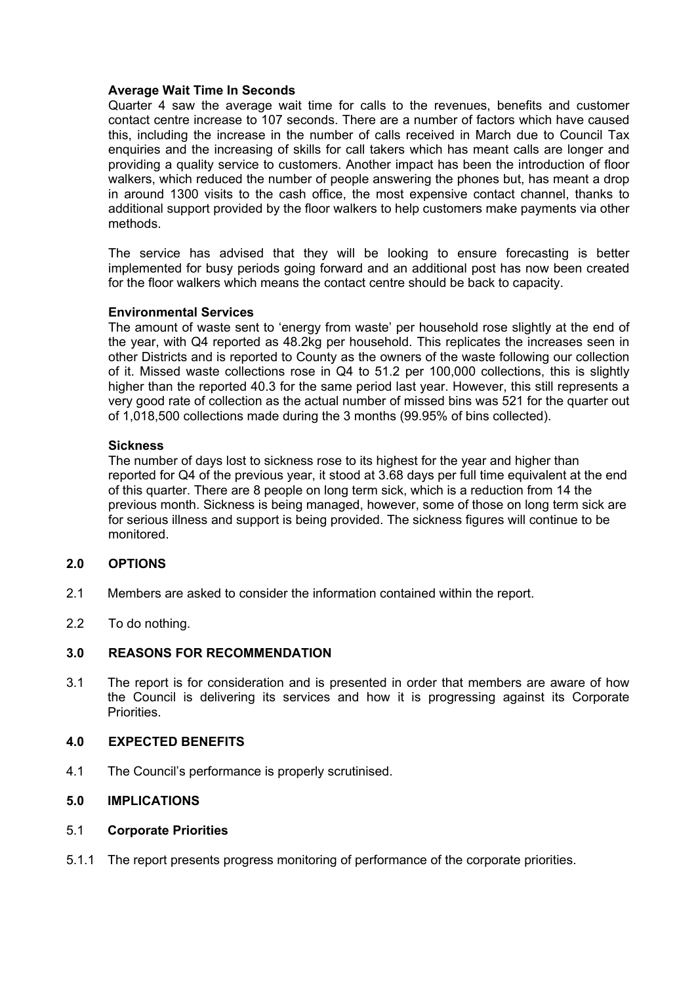## **Average Wait Time In Seconds**

Quarter 4 saw the average wait time for calls to the revenues, benefits and customer contact centre increase to 107 seconds. There are a number of factors which have caused this, including the increase in the number of calls received in March due to Council Tax enquiries and the increasing of skills for call takers which has meant calls are longer and providing a quality service to customers. Another impact has been the introduction of floor walkers, which reduced the number of people answering the phones but, has meant a drop in around 1300 visits to the cash office, the most expensive contact channel, thanks to additional support provided by the floor walkers to help customers make payments via other methods.

The service has advised that they will be looking to ensure forecasting is better implemented for busy periods going forward and an additional post has now been created for the floor walkers which means the contact centre should be back to capacity.

## **Environmental Services**

The amount of waste sent to 'energy from waste' per household rose slightly at the end of the year, with Q4 reported as 48.2kg per household. This replicates the increases seen in other Districts and is reported to County as the owners of the waste following our collection of it. Missed waste collections rose in Q4 to 51.2 per 100,000 collections, this is slightly higher than the reported 40.3 for the same period last year. However, this still represents a very good rate of collection as the actual number of missed bins was 521 for the quarter out of 1,018,500 collections made during the 3 months (99.95% of bins collected).

## **Sickness**

The number of days lost to sickness rose to its highest for the year and higher than reported for Q4 of the previous year, it stood at 3.68 days per full time equivalent at the end of this quarter. There are 8 people on long term sick, which is a reduction from 14 the previous month. Sickness is being managed, however, some of those on long term sick are for serious illness and support is being provided. The sickness figures will continue to be monitored.

## **2.0 OPTIONS**

- 2.1 Members are asked to consider the information contained within the report.
- 2.2 To do nothing.

# **3.0 REASONS FOR RECOMMENDATION**

3.1 The report is for consideration and is presented in order that members are aware of how the Council is delivering its services and how it is progressing against its Corporate **Priorities** 

#### **4.0 EXPECTED BENEFITS**

4.1 The Council's performance is properly scrutinised.

# **5.0 IMPLICATIONS**

#### 5.1 **Corporate Priorities**

5.1.1 The report presents progress monitoring of performance of the corporate priorities.